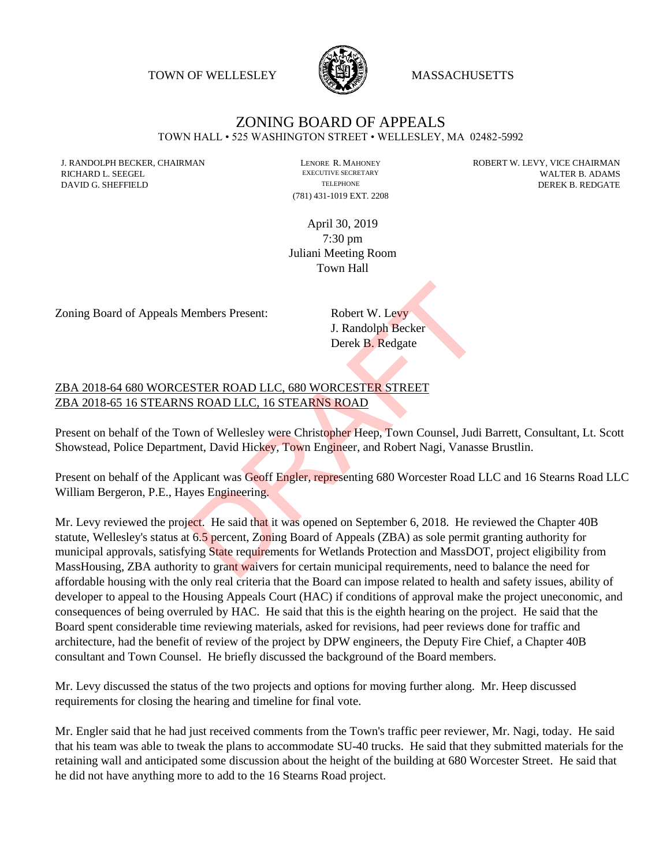TOWN OF WELLESLEY **WASSACHUSETTS** 



## ZONING BOARD OF APPEALS TOWN HALL • 525 WASHINGTON STREET • WELLESLEY, MA 02482-5992

(781) 431-1019 EXT. 2208

J. RANDOLPH BECKER, CHAIRMAN LENORE R. MAHONEY ROBERT W. LEVY, VICE CHAIRMAN LENORE R. MAHONEY RECRETARY WALTED BY ADAMS RICHARD L. SEEGEL EXECUTIVE SECRETARY EXECUTIVE SECRETARY WALTER B. ADAMS DAVID G. SHEFFIELD TELEPHONE TELEPHONE TELEPHONE TELEPHONE DEREK B. REDGATE

> April 30, 2019 7:30 pm Juliani Meeting Room Town Hall

Zoning Board of Appeals Members Present: Robert W. Levy

J. Randolph Becker Derek B. Redgate

## ZBA 2018-64 680 WORCESTER ROAD LLC, 680 WORCESTER STREET ZBA 2018-65 16 STEARNS ROAD LLC, 16 STEARNS ROAD

Present on behalf of the Town of Wellesley were Christopher Heep, Town Counsel, Judi Barrett, Consultant, Lt. Scott Showstead, Police Department, David Hickey, Town Engineer, and Robert Nagi, Vanasse Brustlin.

Present on behalf of the Applicant was Geoff Engler, representing 680 Worcester Road LLC and 16 Stearns Road LLC William Bergeron, P.E., Hayes Engineering.

Mr. Levy reviewed the project. He said that it was opened on September 6, 2018. He reviewed the Chapter 40B statute, Wellesley's status at 6.5 percent, Zoning Board of Appeals (ZBA) as sole permit granting authority for municipal approvals, satisfying State requirements for Wetlands Protection and MassDOT, project eligibility from MassHousing, ZBA authority to grant waivers for certain municipal requirements, need to balance the need for affordable housing with the only real criteria that the Board can impose related to health and safety issues, ability of developer to appeal to the Housing Appeals Court (HAC) if conditions of approval make the project uneconomic, and consequences of being overruled by HAC. He said that this is the eighth hearing on the project. He said that the Board spent considerable time reviewing materials, asked for revisions, had peer reviews done for traffic and architecture, had the benefit of review of the project by DPW engineers, the Deputy Fire Chief, a Chapter 40B consultant and Town Counsel. He briefly discussed the background of the Board members. Members Present:<br>
Bobert W. Levy<br>
J. Randolph Becker<br>
Derek B. Redgate<br>
Derek B. Redgate<br>
SESTER ROAD LLC, 680 WORCESTER STREET<br>
SROAD LLC, 16 STEARNS ROAD<br>
wn of Wellesley were Christopher Heep, Town Counsel, Judi<br>
nent,

Mr. Levy discussed the status of the two projects and options for moving further along. Mr. Heep discussed requirements for closing the hearing and timeline for final vote.

Mr. Engler said that he had just received comments from the Town's traffic peer reviewer, Mr. Nagi, today. He said that his team was able to tweak the plans to accommodate SU-40 trucks. He said that they submitted materials for the retaining wall and anticipated some discussion about the height of the building at 680 Worcester Street. He said that he did not have anything more to add to the 16 Stearns Road project.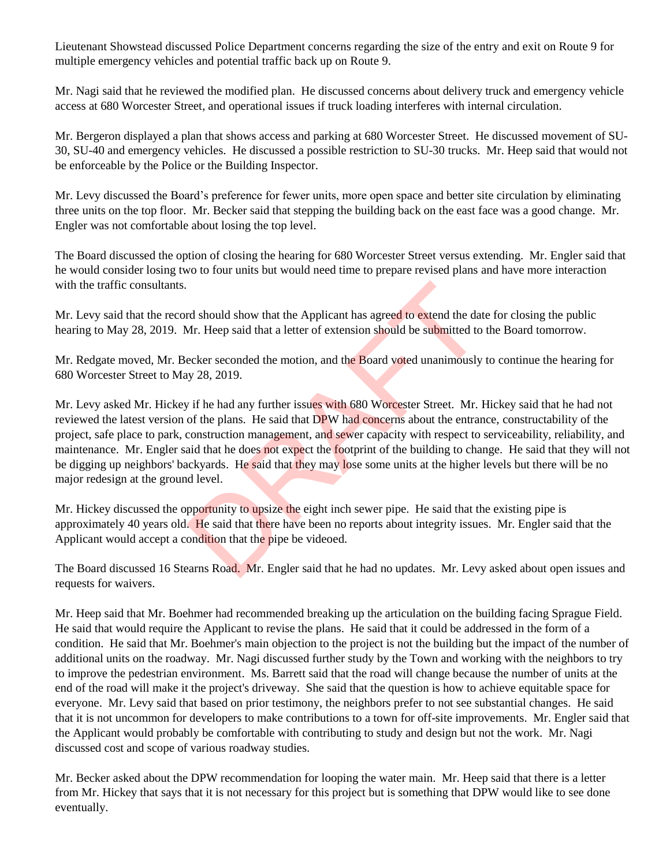Lieutenant Showstead discussed Police Department concerns regarding the size of the entry and exit on Route 9 for multiple emergency vehicles and potential traffic back up on Route 9.

Mr. Nagi said that he reviewed the modified plan. He discussed concerns about delivery truck and emergency vehicle access at 680 Worcester Street, and operational issues if truck loading interferes with internal circulation.

Mr. Bergeron displayed a plan that shows access and parking at 680 Worcester Street. He discussed movement of SU-30, SU-40 and emergency vehicles. He discussed a possible restriction to SU-30 trucks. Mr. Heep said that would not be enforceable by the Police or the Building Inspector.

Mr. Levy discussed the Board's preference for fewer units, more open space and better site circulation by eliminating three units on the top floor. Mr. Becker said that stepping the building back on the east face was a good change. Mr. Engler was not comfortable about losing the top level.

The Board discussed the option of closing the hearing for 680 Worcester Street versus extending. Mr. Engler said that he would consider losing two to four units but would need time to prepare revised plans and have more interaction with the traffic consultants.

Mr. Levy said that the record should show that the Applicant has agreed to extend the date for closing the public hearing to May 28, 2019. Mr. Heep said that a letter of extension should be submitted to the Board tomorrow.

Mr. Redgate moved, Mr. Becker seconded the motion, and the Board voted unanimously to continue the hearing for 680 Worcester Street to May 28, 2019.

Mr. Levy asked Mr. Hickey if he had any further issues with 680 Worcester Street. Mr. Hickey said that he had not reviewed the latest version of the plans. He said that DPW had concerns about the entrance, constructability of the project, safe place to park, construction management, and sewer capacity with respect to serviceability, reliability, and maintenance. Mr. Engler said that he does not expect the footprint of the building to change. He said that they will not be digging up neighbors' backyards. He said that they may lose some units at the higher levels but there will be no major redesign at the ground level. rd should show that the Applicant has agreed to extend the dat<br>Mr. Heep said that a letter of extension should be submitted to<br>ecker seconded the motion, and the Board voted unanimously<br>y 28, 2019.<br>The had any further issu

Mr. Hickey discussed the opportunity to upsize the eight inch sewer pipe. He said that the existing pipe is approximately 40 years old. He said that there have been no reports about integrity issues. Mr. Engler said that the Applicant would accept a condition that the pipe be videoed.

The Board discussed 16 Stearns Road. Mr. Engler said that he had no updates. Mr. Levy asked about open issues and requests for waivers.

Mr. Heep said that Mr. Boehmer had recommended breaking up the articulation on the building facing Sprague Field. He said that would require the Applicant to revise the plans. He said that it could be addressed in the form of a condition. He said that Mr. Boehmer's main objection to the project is not the building but the impact of the number of additional units on the roadway. Mr. Nagi discussed further study by the Town and working with the neighbors to try to improve the pedestrian environment. Ms. Barrett said that the road will change because the number of units at the end of the road will make it the project's driveway. She said that the question is how to achieve equitable space for everyone. Mr. Levy said that based on prior testimony, the neighbors prefer to not see substantial changes. He said that it is not uncommon for developers to make contributions to a town for off-site improvements. Mr. Engler said that the Applicant would probably be comfortable with contributing to study and design but not the work. Mr. Nagi discussed cost and scope of various roadway studies.

Mr. Becker asked about the DPW recommendation for looping the water main. Mr. Heep said that there is a letter from Mr. Hickey that says that it is not necessary for this project but is something that DPW would like to see done eventually.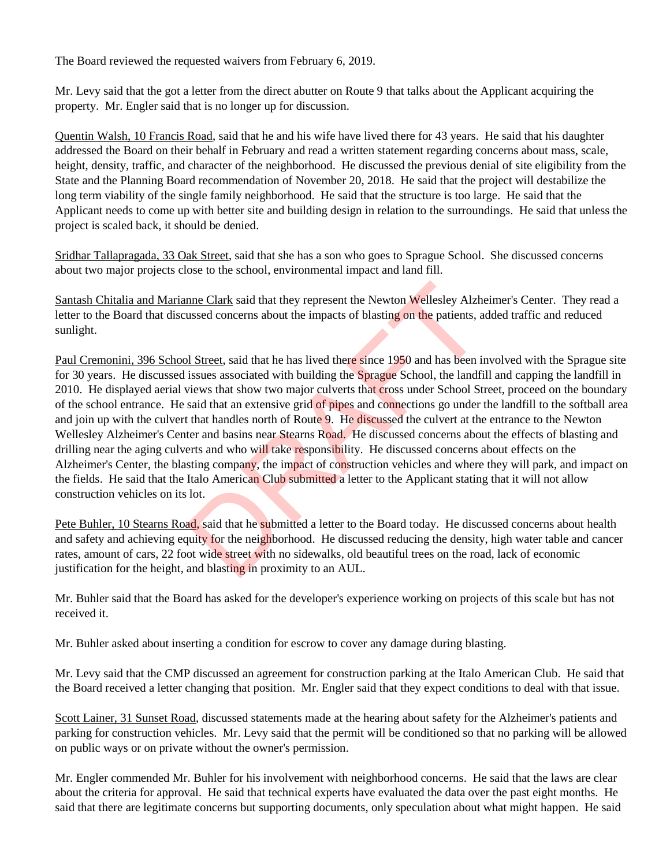The Board reviewed the requested waivers from February 6, 2019.

Mr. Levy said that the got a letter from the direct abutter on Route 9 that talks about the Applicant acquiring the property. Mr. Engler said that is no longer up for discussion.

Quentin Walsh, 10 Francis Road, said that he and his wife have lived there for 43 years. He said that his daughter addressed the Board on their behalf in February and read a written statement regarding concerns about mass, scale, height, density, traffic, and character of the neighborhood. He discussed the previous denial of site eligibility from the State and the Planning Board recommendation of November 20, 2018. He said that the project will destabilize the long term viability of the single family neighborhood. He said that the structure is too large. He said that the Applicant needs to come up with better site and building design in relation to the surroundings. He said that unless the project is scaled back, it should be denied.

Sridhar Tallapragada, 33 Oak Street, said that she has a son who goes to Sprague School. She discussed concerns about two major projects close to the school, environmental impact and land fill.

Santash Chitalia and Marianne Clark said that they represent the Newton Wellesley Alzheimer's Center. They read a letter to the Board that discussed concerns about the impacts of blasting on the patients, added traffic and reduced sunlight.

Paul Cremonini, 396 School Street, said that he has lived there since 1950 and has been involved with the Sprague site for 30 years. He discussed issues associated with building the Sprague School, the landfill and capping the landfill in 2010. He displayed aerial views that show two major culverts that cross under School Street, proceed on the boundary of the school entrance. He said that an extensive grid of pipes and connections go under the landfill to the softball area and join up with the culvert that handles north of Route 9. He discussed the culvert at the entrance to the Newton Wellesley Alzheimer's Center and basins near Stearns Road. He discussed concerns about the effects of blasting and drilling near the aging culverts and who will take responsibility. He discussed concerns about effects on the Alzheimer's Center, the blasting company, the impact of construction vehicles and where they will park, and impact on the fields. He said that the Italo American Club submitted a letter to the Applicant stating that it will not allow construction vehicles on its lot. nne Clark said that they represent the Newton Wellesley Alzhussed concerns about the impacts of blasting on the patients, a sized concerns about the impacts of blasting on the patients, a size of Street, said that he has l

Pete Buhler, 10 Stearns Road, said that he submitted a letter to the Board today. He discussed concerns about health and safety and achieving equity for the neighborhood. He discussed reducing the density, high water table and cancer rates, amount of cars, 22 foot wide street with no sidewalks, old beautiful trees on the road, lack of economic justification for the height, and blasting in proximity to an AUL.

Mr. Buhler said that the Board has asked for the developer's experience working on projects of this scale but has not received it.

Mr. Buhler asked about inserting a condition for escrow to cover any damage during blasting.

Mr. Levy said that the CMP discussed an agreement for construction parking at the Italo American Club. He said that the Board received a letter changing that position. Mr. Engler said that they expect conditions to deal with that issue.

Scott Lainer, 31 Sunset Road, discussed statements made at the hearing about safety for the Alzheimer's patients and parking for construction vehicles. Mr. Levy said that the permit will be conditioned so that no parking will be allowed on public ways or on private without the owner's permission.

Mr. Engler commended Mr. Buhler for his involvement with neighborhood concerns. He said that the laws are clear about the criteria for approval. He said that technical experts have evaluated the data over the past eight months. He said that there are legitimate concerns but supporting documents, only speculation about what might happen. He said